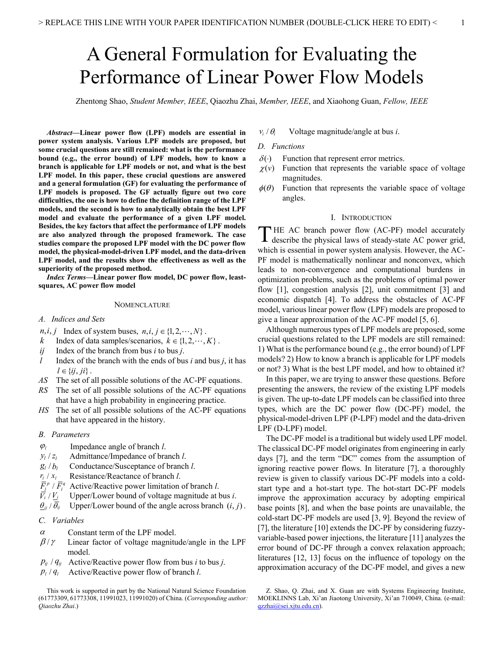# A General Formulation for Evaluating the Performance of Linear Power Flow Models

Zhentong Shao, *Student Member, IEEE*, Qiaozhu Zhai, *Member, IEEE*, and Xiaohong Guan, *Fellow, IEEE*

*Abstract***—Linear power flow (LPF) models are essential in power system analysis. Various LPF models are proposed, but some crucial questions are still remained: what is the performance bound (e.g., the error bound) of LPF models, how to know a branch is applicable for LPF models or not, and what is the best LPF model. In this paper, these crucial questions are answered and a general formulation (GF) for evaluating the performance of LPF models is proposed. The GF actually figure out two core difficulties, the one is how to define the definition range of the LPF models, and the second is how to analytically obtain the best LPF model and evaluate the performance of a given LPF model. Besides, the key factors that affect the performance of LPF models are also analyzed through the proposed framework. The case studies compare the proposed LPF model with the DC power flow model, the physical-model-driven LPF model, and the data-driven LPF model, and the results show the effectiveness as well as the superiority of the proposed method.**

*Index Terms***—Linear power flow model, DC power flow, leastsquares, AC power flow model**

## **NOMENCLATURE**

- *A. Indices and Sets*
- *n,i, j* Index of system buses,  $n, i, j \in \{1, 2, \dots, N\}$ .
- *k* Index of data samples/scenarios,  $k \in \{1, 2, \dots, K\}$ .
- *ij* Index of the branch from bus *i* to bus *j*.
- *l* Index of the branch with the ends of bus *i* and bus *j*, it has  $l \in \{ij, ji\}$ .
- *AS* The set of all possible solutions of the AC-PF equations.
- *RS* The set of all possible solutions of the AC-PF equations that have a high probability in engineering practice.
- *HS* The set of all possible solutions of the AC-PF equations that have appeared in the history.

## *B. Parameters*

- $\varphi$  Impedance angle of branch *l*.
- $y_l / z_l$  Admittance/Impedance of branch *l*.
- $g_l / b_l$  Conductance/Susceptance of branch *l*.
- $r_i$  /  $x_i$  Resistance/Reactance of branch *l*.
- $\overline{F}_i^p / \overline{F}_i^q$  Active/Reactive power limitation of branch *l*.<br> $\overline{V}_i / V_i$  Upper/Lower bound of voltage magnitude at l

*Vi* /*Vi* Upper/Lower bound of voltage magnitude at bus *i*.

- $\frac{\partial u_j}{\partial \bar{y}}$  Upper/Lower bound of the angle across branch  $(i, j)$ .
- *C. Variables*
- $\alpha$  Constant term of the LPF model.
- $\beta/\gamma$  Linear factor of voltage magnitude/angle in the LPF model.
- $p_{ii}$  /  $q_{ii}$  Active/Reactive power flow from bus *i* to bus *j*.
- $p_l / q_l$  Active/Reactive power flow of branch *l*.

 $v_i / \theta_i$  Voltage magnitude/angle at bus *i*.

#### *D. Functions*

- $\delta(\cdot)$  Function that represent error metrics.
- $\chi(v)$  Function that represents the variable space of voltage magnitudes.
- $\phi(\theta)$  Function that represents the variable space of voltage angles.

## I. INTRODUCTION

THE AC branch power flow (AC-PF) model accurately THE AC branch power flow (AC-PF) model accurately<br>describe the physical laws of steady-state AC power grid, which is essential in power system analysis. However, the AC-PF model is mathematically nonlinear and nonconvex, which leads to non-convergence and computational burdens in optimization problems, such as the problems of optimal power flow [1], congestion analysis [2], unit commitment [3] and economic dispatch [4]. To address the obstacles of AC-PF model, various linear power flow (LPF) models are proposed to give a linear approximation of the AC-PF model [5, 6].

Although numerous types of LPF models are proposed, some crucial questions related to the LPF models are still remained: 1) What is the performance bound (e.g., the error bound) of LPF models? 2) How to know a branch is applicable for LPF models or not? 3) What is the best LPF model, and how to obtained it?

In this paper, we are trying to answer these questions. Before presenting the answers, the review of the existing LPF models is given. The up-to-date LPF models can be classified into three types, which are the DC power flow (DC-PF) model, the physical-model-driven LPF (P-LPF) model and the data-driven LPF (D-LPF) model.

The DC-PF model is a traditional but widely used LPF model. The classical DC-PF model originates from engineering in early days [7], and the term "DC" comes from the assumption of ignoring reactive power flows. In literature [7], a thoroughly review is given to classify various DC-PF models into a coldstart type and a hot-start type. The hot-start DC-PF models improve the approximation accuracy by adopting empirical base points [8], and when the base points are unavailable, the cold-start DC-PF models are used [3, 9]. Beyond the review of [7], the literature [10] extends the DC-PF by considering fuzzyvariable-based power injections, the literature [11] analyzes the error bound of DC-PF through a convex relaxation approach; literatures [12, 13] focus on the influence of topology on the approximation accuracy of the DC-PF model, and gives a new

This work is supported in part by the National Natural Science Foundation (61773309, 61773308, 11991023, 11991020) of China. (*Corresponding author: Qiaozhu Zhai*.)

Z. Shao, Q. Zhai, and X. Guan are with Systems Engineering Institute, MOEKLINNS Lab, Xi'an Jiaotong University, Xi'an 710049, China. (e-mail: qzzhai@sei.xjtu.edu.cn).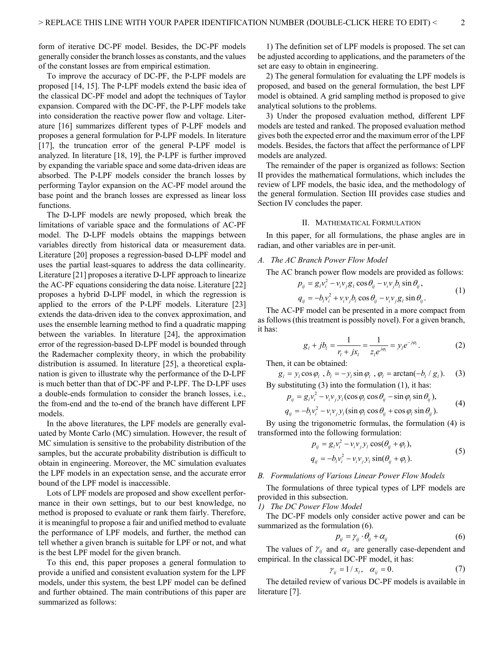form of iterative DC-PF model. Besides, the DC-PF models generally consider the branch losses as constants, and the values of the constant losses are from empirical estimation.

To improve the accuracy of DC-PF, the P-LPF models are proposed [14, 15]. The P-LPF models extend the basic idea of the classical DC-PF model and adopt the techniques of Taylor expansion. Compared with the DC-PF, the P-LPF models take into consideration the reactive power flow and voltage. Literature [16] summarizes different types of P-LPF models and proposes a general formulation for P-LPF models. In literature [17], the truncation error of the general P-LPF model is analyzed. In literature [18, 19], the P-LPF is further improved by expanding the variable space and some data-driven ideas are absorbed. The P-LPF models consider the branch losses by performing Taylor expansion on the AC-PF model around the base point and the branch losses are expressed as linear loss functions.

The D-LPF models are newly proposed, which break the limitations of variable space and the formulations of AC-PF model. The D-LPF models obtains the mappings between variables directly from historical data or measurement data. Literature [20] proposes a regression-based D-LPF model and uses the partial least-squares to address the data collinearity. Literature [21] proposes a iterative D-LPF approach to linearize the AC-PF equations considering the data noise. Literature [22] proposes a hybrid D-LPF model, in which the regression is applied to the errors of the P-LPF models. Literature [23] extends the data-driven idea to the convex approximation, and uses the ensemble learning method to find a quadratic mapping between the variables. In literature [24], the approximation error of the regression-based D-LPF model is bounded through the Rademacher complexity theory, in which the probability distribution is assumed. In literature [25], a theoretical explanation is given to illustrate why the performance of the D-LPF is much better than that of DC-PF and P-LPF. The D-LPF uses a double-ends formulation to consider the branch losses, i.e., the from-end and the to-end of the branch have different LPF models.

In the above literatures, the LPF models are generally evaluated by Monte Carlo (MC) simulation. However, the result of MC simulation is sensitive to the probability distribution of the samples, but the accurate probability distribution is difficult to obtain in engineering. Moreover, the MC simulation evaluates the LPF models in an expectation sense, and the accurate error bound of the LPF model is inaccessible.

Lots of LPF models are proposed and show excellent performance in their own settings, but to our best knowledge, no method is proposed to evaluate or rank them fairly. Therefore, it is meaningful to propose a fair and unified method to evaluate the performance of LPF models, and further, the method can tell whether a given branch is suitable for LPF or not, and what is the best LPF model for the given branch.

To this end, this paper proposes a general formulation to provide a unified and consistent evaluation system for the LPF models, under this system, the best LPF model can be defined and further obtained. The main contributions of this paper are summarized as follows:

1) The definition set of LPF models is proposed. The set can be adjusted according to applications, and the parameters of the set are easy to obtain in engineering.

2) The general formulation for evaluating the LPF models is proposed, and based on the general formulation, the best LPF model is obtained. A grid sampling method is proposed to give analytical solutions to the problems.

3) Under the proposed evaluation method, different LPF models are tested and ranked. The proposed evaluation method gives both the expected error and the maximum error of the LPF models. Besides, the factors that affect the performance of LPF models are analyzed.

The remainder of the paper is organized as follows: Section II provides the mathematical formulations, which includes the review of LPF models, the basic idea, and the methodology of the general formulation. Section III provides case studies and Section IV concludes the paper.

#### II. MATHEMATICAL FORMULATION

In this paper, for all formulations, the phase angles are in radian, and other variables are in per-unit.

## *A. The AC Branch Power Flow Model*

The AC branch power flow models are provided as follows:

$$
p_{ij} = g_i v_i^2 - v_i v_j g_l \cos \theta_{ij} - v_i v_j b_l \sin \theta_{ij},
$$
  
\n
$$
q_{ij} = -b_i v_i^2 + v_i v_j b_l \cos \theta_{ij} - v_i v_j g_l \sin \theta_{ij}.
$$
\n(1)

The AC-PF model can be presented in a more compact from as follows (this treatment is possibly novel). For a given branch, it has:

$$
g_{l} + jb_{l} = \frac{1}{r_{l} + jx_{l}} = \frac{1}{z_{l}e^{j\varphi_{l}}} = y_{l}e^{-j\varphi_{l}}.
$$
 (2)

Then, it can be obtained:

$$
g_l = y_l \cos \varphi_l
$$
,  $b_l = -y_l \sin \varphi_l$ ,  $\varphi_l = \arctan(-b_l / g_l)$ . (3)  
By substituting (3) into the formulation (1), it has:

$$
p_{ij} = g_i v_i^2 - v_i v_j y_i (\cos \varphi_i \cos \theta_{ij} - \sin \varphi_i \sin \theta_{ij}),
$$
\n(4)

$$
q_{ij} = -b_i v_i^2 - v_i v_j y_l (\sin \varphi_l \cos \theta_{ij} + \cos \varphi_l \sin \theta_{ij}).
$$

By using the trigonometric formulas, the formulation (4) is transformed into the following formulation:

$$
p_{ij} = g_i v_i^2 - v_i v_j y_l \cos(\theta_{ij} + \varphi_l),
$$
  
\n
$$
q_{ij} = -b_l v_i^2 - v_i v_j y_l \sin(\theta_{ij} + \varphi_l).
$$
\n(5)

## *B. Formulations of Various Linear Power Flow Models*

The formulations of three typical types of LPF models are provided in this subsection.

*1) The DC Power Flow Model*

The DC-PF models only consider active power and can be summarized as the formulation (6).

$$
p_{ij} = \gamma_{ij} \cdot \theta_{ij} + \alpha_{ij} \tag{6}
$$

The values of  $\gamma_{ij}$  and  $\alpha_{ij}$  are generally case-dependent and empirical. In the classical DC-PF model, it has:

$$
\gamma_{ij} = 1 / x_l, \quad \alpha_{ij} = 0. \tag{7}
$$

The detailed review of various DC-PF models is available in literature [7].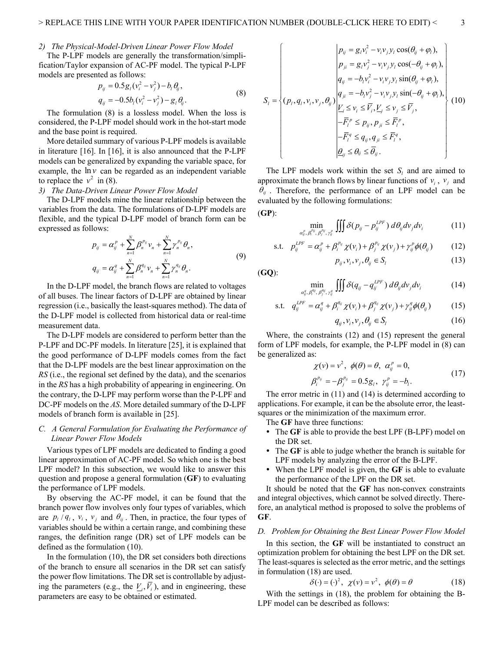#### *2) The Physical-Model-Driven Linear Power Flow Model*

The P-LPF models are generally the transformation/simplification/Taylor expansion of AC-PF model. The typical P-LPF models are presented as follows:

$$
p_{ij} = 0.5g_i(v_i^2 - v_j^2) - b_l \theta_{ij},
$$
  
\n
$$
q_{ij} = -0.5b_l(v_i^2 - v_j^2) - g_l \theta_{ij}.
$$
\n(8)

The formulation (8) is a lossless model. When the loss is considered, the P-LPF model should work in the hot-start mode and the base point is required.

More detailed summary of various P-LPF models is available in literature [16]. In [16], it is also announced that the P-LPF models can be generalized by expanding the variable space, for example, the  $\ln v$  can be regarded as an independent variable to replace the  $v^2$  in (8).

# *3) The Data-Driven Linear Power Flow Model*

The D-LPF models mine the linear relationship between the variables from the data. The formulations of D-LPF models are flexible, and the typical D-LPF model of branch form can be expressed as follows:

$$
p_{ij} = \alpha_{ij}^p + \sum_{n=1}^N \beta_n^{p_{ij}} v_n + \sum_{n=1}^N \gamma_n^{p_{ij}} \theta_n,
$$
  
\n
$$
q_{ij} = \alpha_{ij}^q + \sum_{n=1}^N \beta_n^{q_{ij}} v_n + \sum_{n=1}^N \gamma_n^{q_{ij}} \theta_n.
$$
\n(9)

In the D-LPF model, the branch flows are related to voltages of all buses. The linear factors of D-LPF are obtained by linear regression (i.e., basically the least-squares method). The data of the D-LPF model is collected from historical data or real-time measurement data.

The D-LPF models are considered to perform better than the P-LPF and DC-PF models. In literature [25], it is explained that the good performance of D-LPF models comes from the fact that the D-LPF models are the best linear approximation on the *RS* (i.e., the regional set defined by the data), and the scenarios in the *RS* has a high probability of appearing in engineering. On the contrary, the D-LPF may perform worse than the P-LPF and DC-PF models on the *AS*. More detailed summary of the D-LPF models of branch form is available in [25].

## *C. A General Formulation for Evaluating the Performance of Linear Power Flow Models*

Various types of LPF models are dedicated to finding a good linear approximation of AC-PF model. So which one is the best LPF model? In this subsection, we would like to answer this question and propose a general formulation (**GF**) to evaluating the performance of LPF models.

By observing the AC-PF model, it can be found that the branch power flow involves only four types of variables, which are  $p_i / q_i$ ,  $v_i$ ,  $v_j$  and  $\theta_{ij}$ . Then, in practice, the four types of variables should be within a certain range, and combining these ranges, the definition range (DR) set of LPF models can be defined as the formulation (10).

In the formulation (10), the DR set considers both directions of the branch to ensure all scenarios in the DR set can satisfy the power flow limitations. The DR set is controllable by adjusting the parameters (e.g., the  $V_i$ ,  $\overline{V}_i$ ), and in engineering, these parameters are easy to be obtained or estimated.

$$
S_{i} = \begin{cases} p_{ij} = g_{i}v_{i}^{2} - v_{i}v_{j}y_{i}\cos(\theta_{ij} + \varphi_{i}), \\ p_{ji} = g_{i}v_{j}^{2} - v_{i}v_{j}y_{i}\cos(-\theta_{ij} + \varphi_{i}), \\ q_{ij} = -b_{i}v_{i}^{2} - v_{i}v_{j}y_{i}\sin(\theta_{ij} + \varphi_{i}), \\ q_{ji} = -b_{i}v_{i}^{2} - v_{i}v_{j}y_{i}\sin(-\theta_{ij} + \varphi_{i}), \\ \frac{V_{i}}{\sum_{i} \leq v_{i} \leq \overline{V}_{i}, V_{j} \leq v_{j} \leq \overline{V}_{j},} \\ -\overline{F}_{i}^{p} \leq p_{ij}, p_{ji} \leq \overline{F}_{i}^{p}, \\ -\overline{F}_{i}^{q} \leq q_{ij}, q_{ji} \leq \overline{F}_{i}^{q}, \\ \underline{\theta}_{ij} \leq \theta_{ij} \leq \overline{\theta}_{ij}. \end{cases} (10)
$$

The LPF models work within the set  $S_l$  and are aimed to approximate the branch flows by linear functions of  $v_i$ ,  $v_j$  and  $\theta_{ij}$ . Therefore, the performance of an LPF model can be evaluated by the following formulations: (**GP**):

$$
\min_{\substack{p_i, p_j, p_j, p_j, p_j \\ q_j, p_j, p_j, p_j}} \iiint \delta(p_{ij} - p_{ij}^{LPF}) d\theta_{ij} dv_j dv_i \tag{11}
$$

$$
\text{s.t.} \quad p_{ij}^{LPF} = \alpha_{ij}^P + \beta_i^{p_{ij}} \chi(\nu_i) + \beta_j^{p_{ij}} \chi(\nu_j) + \gamma_{ij}^P \phi(\theta_{ij}) \tag{12}
$$
\n
$$
p_{ij}, \nu_i, \nu_j, \theta_{ij} \in S_l \tag{13}
$$

$$
(GO):
$$

 $\alpha_i^p$ .

$$
\min_{a_{ij}^q, \beta_i^{q_{ij}}, \gamma_j^{q_{ij}}, \gamma_{ij}^q} \iiint \delta(q_{ij} - q_{ij}^{LPF}) d\theta_{ij} dv_j dv_i \qquad (14)
$$

$$
\text{s.t.} \quad q_{ij}^{LPF} = \alpha_{ij}^q + \beta_i^{q_{ij}} \chi(\mathbf{v}_i) + \beta_j^{q_{ij}} \chi(\mathbf{v}_j) + \gamma_{ij}^q \phi(\theta_{ij}) \tag{15}
$$

$$
q_{ij}, \nu_i, \nu_j, \theta_{ij} \in S_l \tag{16}
$$

Where, the constraints (12) and (15) represent the general form of LPF models, for example, the P-LPF model in (8) can be generalized as:

$$
\chi(v) = v^2, \ \phi(\theta) = \theta, \ \alpha_{ij}^p = 0, \n\beta_i^{p_{ij}} = -\beta_j^{p_{ij}} = 0.5g_i, \ \gamma_{ij}^p = -b_i.
$$
\n(17)

The error metric in (11) and (14) is determined according to applications. For example, it can be the absolute error, the leastsquares or the minimization of the maximum error.

The **GF** have three functions:

- The **GF** is able to provide the best LPF (B-LPF) model on the DR set.
- The **GF** is able to judge whether the branch is suitable for LPF models by analyzing the error of the B-LPF.
- When the LPF model is given, the **GF** is able to evaluate the performance of the LPF on the DR set.

It should be noted that the **GF** has non-convex constraints and integral objectives, which cannot be solved directly. Therefore, an analytical method is proposed to solve the problems of **GF**.

#### *D. Problem for Obtaining the Best Linear Power Flow Model*

In this section, the **GF** will be instantiated to construct an optimization problem for obtaining the best LPF on the DR set. The least-squares is selected as the error metric, and the settings in formulation (18) are used.

$$
\delta(\cdot) = (\cdot)^2, \ \ \chi(\nu) = \nu^2, \ \ \phi(\theta) = \theta \tag{18}
$$

With the settings in (18), the problem for obtaining the B-LPF model can be described as follows: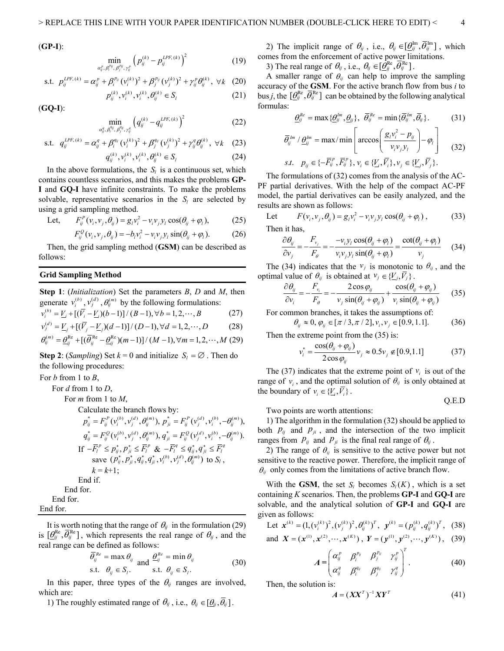(**GP-I**):

$$
\min_{l_{ij}^p, \beta_{ij}^{p_{ij}}, p_{j}^{p_{ij}}, \gamma_{ij}^p} \left( p_{ij}^{(k)} - p_{ij}^{LPF,(k)} \right)^2 \tag{19}
$$

s.t. 
$$
p_{ij}^{LPF,(k)} = \alpha_{ij}^P + \beta_i^{p_{ij}} (v_i^{(k)})^2 + \beta_j^{p_{ij}} (v_j^{(k)})^2 + \gamma_{ij}^P \theta_{ij}^{(k)}, \forall k \quad (20)
$$

$$
p_{ij}^{(k)}, v_i^{(k)}, v_{ij}^{(k)} \in S_l \tag{21}
$$

 $\alpha_{ij}^p$ 

(**GQ-I**):

$$
\min_{a_{ij}^q, \beta_i^{q_{ij}}, \beta_j^{q_{ij}}, \gamma_{ij}^q} \left( q_{ij}^{(k)} - q_{ij}^{LPF,(k)} \right)^2 \tag{22}
$$

$$
\text{s.t.} \quad q_{ij}^{LPF,(k)} = \alpha_{ij}^q + \beta_i^{q_{ij}} (\mathbf{v}_i^{(k)})^2 + \beta_j^{q_{ij}} (\mathbf{v}_j^{(k)})^2 + \gamma_{ij}^q \theta_{ij}^{(k)}, \ \forall k \quad (23)
$$

$$
q_{ij}^{(k)}, v_i^{(k)}, v_i^{(k)}, \theta_{ij}^{(k)} \in S_l
$$
 (24)

In the above formulations, the  $S_l$  is a continuous set, which contains countless scenarios, and this makes the problems **GP-I** and **GQ-I** have infinite constraints. To make the problems solvable, representative scenarios in the  $S_l$  are selected by using a grid sampling method.

Let, 
$$
F_{ij}^P(v_i, v_j, \theta_{ij}) = g_i v_i^2 - v_i v_j y_l \cos(\theta_{ij} + \varphi_l),
$$
 (25)

$$
F_{ij}^{\mathcal{Q}}(v_i, v_j, \theta_{ij}) = -b_i v_i^2 - v_i v_j y_l \sin(\theta_{ij} + \varphi_l). \tag{26}
$$

Then, the grid sampling method (**GSM**) can be described as follows:

# **Grid Sampling Method**

**Step 1**: (*Initialization*) Set the parameters *B*, *D* and *M*, then generate  $v_i^{(b)}$ ,  $v_j^{(d)}$ ,  $\theta_{ij}^{(m)}$  by the following formulations:

$$
v_i^{(b)} = V_i + [(\bar{V}_i - V_i)(b-1)] / (B-1), \forall b = 1, 2, \cdots, B
$$
 (27)

$$
v_j^{(d)} = \underline{V}_j + [(\overline{V}_j - \underline{V}_j)(d-1)] / (D-1), \forall d = 1, 2, \cdots, D
$$
 (28)

 $\theta_{ii}^{(m)} = \theta_{ii}^{\text{Re}} + [(\bar{\theta}_{ii}^{\text{Re}} - \theta_{ii}^{\text{Re}})(m-1)] / (M-1), \forall m = 1,2,\cdots, M$  (29)

**Step 2**: (*Sampling*) Set  $k = 0$  and initialize  $S_i = \emptyset$ . Then do the following procedures:

For *b* from 1 to *B*,

For *d* from 1 to *D*,

For *m* from 1 to *M*,

Calculate the branch flows by:

$$
p_{ij}^* = F_{ij}^P(v_i^{(b)}, v_j^{(d)}, \theta_{ij}^{(m)}), p_{ji}^* = F_{ij}^P(v_j^{(d)}, v_i^{(b)}, -\theta_{ij}^{(m)}),
$$
  
\n
$$
q_{ij}^* = F_{ij}^Q(v_i^{(b)}, v_j^{(d)}, \theta_{ij}^{(m)}), q_{ji}^* = F_{ij}^Q(v_j^{(d)}, v_i^{(b)}, -\theta_{ij}^{(m)}).
$$
  
\nIf  $-\overline{F}_i^P \le p_{ij}^*, p_{ji}^* \le \overline{F}_i^P \& -\overline{F}_i^q \le q_{ij}^*, q_{ji}^* \le \overline{F}_i^q$   
\nsave  $(p_{ij}^*, p_{ji}^*, q_{ij}^*, q_{ji}^*, v_i^{(b)}, v_j^{(d)}, \theta_{ij}^{(m)})$  to  $S_l$ ,  
\n $k = k+1$ ;  
\nEnd if.  
\nEnd for.  
\nEnd for.

It is worth noting that the range of  $\theta_{ij}$  in the formulation (29) is  $[\theta_{ij}^{\text{Re}}, \overline{\theta_{ij}}^{\text{Re}}]$ , which represents the real range of  $\theta_{ij}$ , and the real range can be defined as follows:

$$
\begin{aligned}\n\overline{\theta}_{ij}^{Re} &= \max \theta_{ij} \\
\text{s.t.} \quad \theta_{ij} \in S_i. \\
\end{aligned}\n\quad \text{and} \quad\n\begin{aligned}\n\frac{\theta_{ij}^{Re} &= \min \theta_{ij} \\
\text{s.t.} \quad \theta_{ij} \in S_i.\n\end{aligned}\n\tag{30}
$$

In this paper, three types of the  $\theta_{ij}$  ranges are involved, which are:

1) The roughly estimated range of  $\theta_{ij}$ , i.e.,  $\theta_{ij} \in [\theta_{ij}, \overline{\theta}_{ij}]$ .

2) The implicit range of  $\theta_{ij}$ , i.e.,  $\theta_{ij} \in [\theta_{ij}^{\text{Im}}, \overline{\theta_{ij}}^{\text{Im}}]$ , which comes from the enforcement of active power limitations.

3) The real range of  $\theta_{ij}$ , i.e.,  $\theta_{ij} \in [\theta_{ij}^{Re}, \theta_{ij}^{Re}]$ .

A smaller range of  $\theta_{ij}$  can help to improve the sampling accuracy of the **GSM**. For the active branch flow from bus *i* to bus *j*, the  $[\theta_{ij}^{\text{Re}}, \overline{\theta_{ij}}^{\text{Re}}]$  can be obtained by the following analytical formulas:

$$
\underline{\theta}_{ij}^{Re} = \max \{ \underline{\theta}_{ij}^{lm}, \underline{\theta}_{ij} \}, \ \ \overline{\theta}_{ij}^{Re} = \min \{ \overline{\theta}_{ij}^{lm}, \overline{\theta}_{ij} \}.
$$
 (31)

$$
\overline{\theta}_{ij}^{Im} / \underline{\theta}_{ij}^{Im} = \max / \min \left[ \arccos \left( \frac{g_i v_i^2 - p_{ij}}{v_i v_j y_l} \right) - \varphi_l \right] \tag{32}
$$
  
s.t.  $p_{ij} \in \{-\overline{F}_{ij}^p, \overline{F}_{ij}^p\}, v_i \in \{\underline{V}_i, \overline{V}_i\}, v_j \in \{\underline{V}_j, \overline{V}_j\}.$ 

The formulations of (32) comes from the analysis of the AC-PF partial derivatives. With the help of the compact AC-PF model, the partial derivatives can be easily analyzed, and the results are shown as follows:

Let 
$$
F(v_i, v_j, \theta_{ij}) = g_i v_i^2 - v_i v_j y_l \cos(\theta_{ij} + \varphi_l)
$$
, (33)

I hen it has.

$$
\frac{\partial \theta_{ij}}{\partial v_j} = -\frac{F_{v_j}}{F_{\theta}} = -\frac{-v_i y_l \cos(\theta_{ij} + \varphi_l)}{v_i v_j y_l \sin(\theta_{ij} + \varphi_l)} = \frac{\cot(\theta_{ij} + \varphi_l)}{v_j}
$$
(34)

The (34) indicates that the  $v_j$  is monotonic to  $\theta_{ij}$ , and the optimal value of  $\theta_{ij}$  is obtained at  $v_j \in \{V_j, \overline{V_j}\}\.$ 

$$
\frac{\partial \theta_{ij}}{\partial v_i} = -\frac{F_{v_i}}{F_{\theta}} = -\frac{2\cos\varphi_{ij}}{v_j\sin(\theta_{ij} + \varphi_{ij})} + \frac{\cos(\theta_{ij} + \varphi_{ij})}{v_i\sin(\theta_{ij} + \varphi_{ij})}
$$
(35)

For common branches, it takes the assumptions of:

 $\theta_{ij} \approx 0, \varphi_{ij} \in [\pi/3, \pi/2], v_i, v_j \in [0.9, 1.1].$  (36)

Then the extreme point from the (35) is:

$$
v_i^* = \frac{\cos(\theta_{ij} + \varphi_{ij})}{2\cos\varphi_{ij}} v_j \approx 0.5 v_j \notin [0.9, 1.1]
$$
 (37)

The (37) indicates that the extreme point of  $v_i$  is out of the range of  $v_i$ , and the optimal solution of  $\theta_{ij}$  is only obtained at the boundary of  $v_i \in \{V_i, \overline{V_i}\}$ .

Q.E.D

Two points are worth attentions:

1) The algorithm in the formulation (32) should be applied to both  $p_{ij}$  and  $p_{ji}$ , and the intersection of the two implicit ranges from  $p_{ij}$  and  $p_{ji}$  is the final real range of  $\theta_{ij}$ .

2) The range of  $\theta_{ij}$  is sensitive to the active power but not sensitive to the reactive power. Therefore, the implicit range of  $\theta_{ij}$  only comes from the limitations of active branch flow.

With the **GSM**, the set  $S_l$  becomes  $S_l(K)$ , which is a set containing *K* scenarios. Then, the problems **GP-I** and **GQ-I** are solvable, and the analytical solution of **GP-I** and **GQ-I** are given as follows:

Let 
$$
\mathbf{x}^{(k)} = (1, (v_i^{(k)})^2, (v_j^{(k)})^2, \theta_{ij}^{(k)})^T
$$
,  $\mathbf{y}^{(k)} = (p_{ij}^{(k)}, q_{ij}^{(k)})^T$ , (38)

and 
$$
X = (x^{(1)}, x^{(2)}, \dots, x^{(K)})
$$
,  $Y = (y^{(1)}, y^{(2)}, \dots, y^{(K)})$ , (39)

$$
A = \begin{pmatrix} \alpha_j^p & \beta_i^{p_{ij}} & \beta_j^{p_{ij}} & \gamma_j^p \\ \alpha_j^q & \beta_i^{q_{ij}} & \beta_j^{q_{ij}} & \gamma_j^q \end{pmatrix}^T. \tag{40}
$$

Then, the solution is:

$$
A = (XXT)-1 XYT
$$
 (41)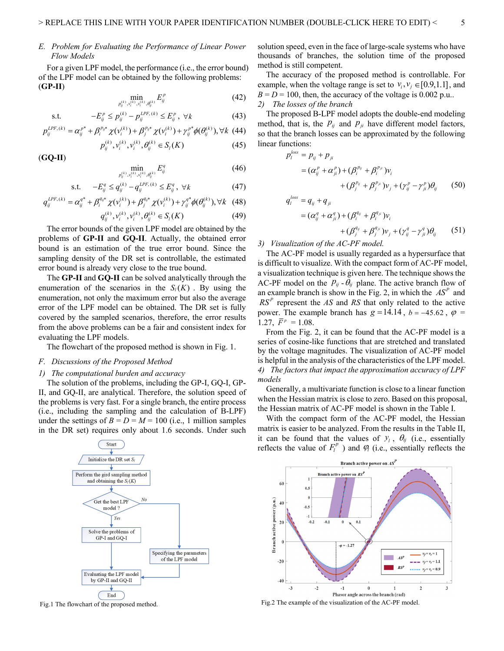## *E. Problem for Evaluating the Performance of Linear Power Flow Models*

For a given LPF model, the performance (i.e., the error bound) of the LPF model can be obtained by the following problems: (**GP-II**)

$$
\min_{p_{ij}^{(k)}, v_i^{(k)}, v_i^{(k)}, \theta_{ij}^{(k)}} E_{ij}^p \tag{42}
$$

s.t. 
$$
-E_{ij}^p \le p_{ij}^{(k)} - p_{ij}^{LPF,(k)} \le E_{ij}^p, \ \forall k
$$
 (43)

$$
p_{ij}^{LPF,(k)} = \alpha_{ij}^{p^*} + \beta_i^{p_{ij}*} \chi(\nu_i^{(k)}) + \beta_j^{p_{ij}*} \chi(\nu_i^{(k)}) + \gamma_{ij}^{p^*} \phi(\theta_{ij}^{(k)}), \forall k \ (44)
$$

$$
p_{ij}^{(k)}, v_i^{(k)}, v_i^{(k)}, \theta_{ij}^{(k)} \in S_l(K)
$$
\n(45)

(**GQ-II**)

$$
\min_{p_{ij}^{(k)}, v_i^{(k)}, v_i^{(k)}, \theta_{ij}^{(k)}} E_j^q \tag{46}
$$

$$
\text{s.t.} \quad -E_{ij}^q \le q_{ij}^{(k)} - q_{ij}^{LPF,(k)} \le E_{ij}^q \,, \,\,\forall k \tag{47}
$$

$$
q_{ij}^{LPF,(k)} = \alpha_{ij}^{q^*} + \beta_{i}^{q_{ij}^*} \chi(v_i^{(k)}) + \beta_{j}^{q_{ij}^*} \chi(v_i^{(k)}) + \gamma_{ij}^{q^*} \phi(\theta_{ij}^{(k)}), \forall k \quad (48)
$$

$$
q_{ij}^{(k)}, v_i^{(k)}, v_i^{(k)}, \theta_{ij}^{(k)} \in S_l(K)
$$
\n(49)

The error bounds of the given LPF model are obtained by the problems of **GP-II** and **GQ-II**. Actually, the obtained error bound is an estimation of the true error bound. Since the sampling density of the DR set is controllable, the estimated error bound is already very close to the true bound.

The **GP-II** and **GQ-II** can be solved analytically through the enumeration of the scenarios in the  $S_l(K)$ . By using the enumeration, not only the maximum error but also the average error of the LPF model can be obtained. The DR set is fully covered by the sampled scenarios, therefore, the error results from the above problems can be a fair and consistent index for evaluating the LPF models.

The flowchart of the proposed method is shown in Fig. 1.

### *F. Discussions of the Proposed Method*

## *1) The computational burden and accuracy*

The solution of the problems, including the GP-I, GQ-I, GP-II, and GQ-II, are analytical. Therefore, the solution speed of the problems is very fast. For a single branch, the entire process (i.e., including the sampling and the calculation of B-LPF) under the settings of  $B = D = M = 100$  (i.e., 1 million samples in the DR set) requires only about 1.6 seconds. Under such



solution speed, even in the face of large-scale systems who have thousands of branches, the solution time of the proposed method is still competent.

The accuracy of the proposed method is controllable. For example, when the voltage range is set to  $v_i, v_j \in [0.9, 1.1]$ , and  $B = D = 100$ , then, the accuracy of the voltage is 0.002 p.u.. *2) The losses of the branch*

The proposed B-LPF model adopts the double-end modeling method, that is, the  $P_{ij}$  and  $P_{ji}$  have different model factors, so that the branch losses can be approximated by the following linear functions:

$$
p_l^{loss} = p_{ij} + p_{ji}
$$
  
=  $(\alpha_{ij}^p + \alpha_{ji}^p) + (\beta_i^{p_{ij}} + \beta_i^{p_{ji}})v_i$   
+  $(\beta_j^{p_{ij}} + \beta_j^{p_{ji}})v_j + (\gamma_{ij}^p - \gamma_{ji}^p)\theta_{ij}$  (50)

$$
q_i^{loss} = q_{ij} + q_{ji}
$$
  
=  $(\alpha_{ij}^q + \alpha_{ji}^q) + (\beta_i^{q_{ij}} + \beta_i^{q_{ji}})v_i$   
+  $(\beta_j^{q_{ij}} + \beta_j^{q_{ji}})v_j + (\gamma_j^q - \gamma_j^q) \theta_{ij}$  (51)

*3) Visualization of the AC-PF model.*

The AC-PF model is usually regarded as a hypersurface that is difficult to visualize. With the compact form of AC-PF model, a visualization technique is given here. The technique shows the AC-PF model on the  $p_{ij}$  -  $\theta_{ij}$  plane. The active branch flow of an example branch is show in the Fig. 2, in which the  $AS<sup>P</sup>$  and  $RS<sup>P</sup>$  represent the *AS* and *RS* that only related to the active power. The example branch has  $g = 14.14$ ,  $b = -45.62$ ,  $\varphi =$ 1.27,  $\bar{F}^p = 1.08$ .

From the Fig. 2, it can be found that the AC-PF model is a series of cosine-like functions that are stretched and translated by the voltage magnitudes. The visualization of AC-PF model is helpful in the analysis of the characteristics of the LPF model. *4) The factors that impact the approximation accuracy of LPF models*

Generally, a multivariate function is close to a linear function when the Hessian matrix is close to zero. Based on this proposal, the Hessian matrix of AC-PF model is shown in the Table I.

With the compact form of the AC-PF model, the Hessian matrix is easier to be analyzed. From the results in the Table II, it can be found that the values of  $y_i$ ,  $\theta_{ij}$  (i.e., essentially reflects the value of  $F_l^p$ ) and  $\varphi$  (i.e., essentially reflects the



Fig.1 The flowchart of the proposed method. Fig.2 The example of the visualization of the AC-PF model.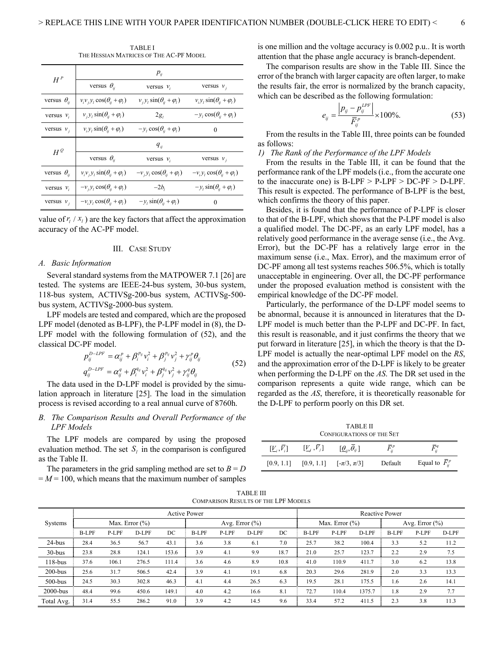TABLE I THE HESSIAN MATRICES OF THE AC-PF MODEL

| $H^P$                | $p_{ij}$                                    |                                         |                                          |  |  |  |  |
|----------------------|---------------------------------------------|-----------------------------------------|------------------------------------------|--|--|--|--|
|                      | versus $\theta_{ii}$                        | versus $v_i$                            | versus $v_i$                             |  |  |  |  |
| versus $\theta_{ii}$ | $v_i v_j v_l \cos(\theta_{ii} + \varphi_l)$ | $v_i y_l \sin(\theta_{ij} + \varphi_l)$ | $v_i y_l \sin(\theta_{ij} + \varphi_l)$  |  |  |  |  |
| versus $v_i$         | $v_j y_l \sin(\theta_{ij} + \varphi_l)$     | $2g_i$                                  | $-y_l \cos(\theta_{ij} + \varphi_l)$     |  |  |  |  |
| versus $v_i$         | $v_i y_l \sin(\theta_{ij} + \varphi_l)$     | $-y_l \cos(\theta_u + \varphi_l)$       | $\Omega$                                 |  |  |  |  |
| $H^{\mathcal{Q}}$    | $q_{ii}$                                    |                                         |                                          |  |  |  |  |
|                      | versus $\theta_{ii}$                        | versus $v_i$                            | versus $v_i$                             |  |  |  |  |
| versus $\theta_{ii}$ | $v_i v_j y_l \sin(\theta_{ij} + \varphi_l)$ | $-v_i y_i \cos(\theta_i + \varphi_i)$   | $-v_i y_i \cos(\theta_{ii} + \varphi_i)$ |  |  |  |  |
| versus $v_i$         | $-v_i y_l \cos(\theta_{ij} + \varphi_l)$    | $-2b_i$                                 | $-y_l \sin(\theta_{ij} + \varphi_l)$     |  |  |  |  |
| versus $v_i$         | $-v_i y_l \cos(\theta_{li} + \varphi_l)$    | $-y_l \sin(\theta_{ii} + \varphi_l)$    | $\Omega$                                 |  |  |  |  |

value of  $r_l / x_l$ ) are the key factors that affect the approximation accuracy of the AC-PF model.

## III. CASE STUDY

#### *A. Basic Information*

Several standard systems from the MATPOWER 7.1 [26] are tested. The systems are IEEE-24-bus system, 30-bus system, 118-bus system, ACTIVSg-200-bus system, ACTIVSg-500 bus system, ACTIVSg-2000-bus system.

LPF models are tested and compared, which are the proposed LPF model (denoted as B-LPF), the P-LPF model in (8), the D-LPF model with the following formulation of (52), and the classical DC-PF model.

$$
p_{ij}^{D-LPF} = \alpha_{ij}^P + \beta_i^{p_{ij}} v_i^2 + \beta_j^{p_{ij}} v_j^2 + \gamma_{ij}^P \theta_{ij}
$$
  
\n
$$
q_{ij}^{D-LPF} = \alpha_{ij}^q + \beta_i^{q_{ij}} v_i^2 + \beta_j^{q_{ij}} v_j^2 + \gamma_{ij}^q \theta_{ij}
$$
\n(52)

The data used in the D-LPF model is provided by the simulation approach in literature [25]. The load in the simulation process is revised according to a real annual curve of 8760h.

# *B. The Comparison Results and Overall Performance of the LPF Models*

The LPF models are compared by using the proposed evaluation method. The set  $S_l$  in the comparison is configured as the Table II.

The parameters in the grid sampling method are set to  $B = D$  $M = 100$ , which means that the maximum number of samples is one million and the voltage accuracy is 0.002 p.u.. It is worth attention that the phase angle accuracy is branch-dependent.

The comparison results are show in the Table III. Since the error of the branch with larger capacity are often larger, to make the results fair, the error is normalized by the branch capacity, which can be described as the following formulation:

$$
e_{ij} = \frac{\left| p_{ij} - p_{ij}^{LPF} \right|}{\overline{F}_{ij}^P} \times 100\%.
$$
 (53)

From the results in the Table III, three points can be founded as follows:

## *1) The Rank of the Performance of the LPF Models*

From the results in the Table III, it can be found that the performance rank of the LPF models (i.e., from the accurate one to the inaccurate one) is  $B-LPF > P-LPF > DC-PF > D-LPF$ . This result is expected. The performance of B-LPF is the best, which confirms the theory of this paper.

Besides, it is found that the performance of P-LPF is closer to that of the B-LPF, which shows that the P-LPF model is also a qualified model. The DC-PF, as an early LPF model, has a relatively good performance in the average sense (i.e., the Avg. Error), but the DC-PF has a relatively large error in the maximum sense (i.e., Max. Error), and the maximum error of DC-PF among all test systems reaches 506.5%, which is totally unacceptable in engineering. Over all, the DC-PF performance under the proposed evaluation method is consistent with the empirical knowledge of the DC-PF model.

Particularly, the performance of the D-LPF model seems to be abnormal, because it is announced in literatures that the D-LPF model is much better than the P-LPF and DC-PF. In fact, this result is reasonable, and it just confirms the theory that we put forward in literature [25], in which the theory is that the D-LPF model is actually the near-optimal LPF model on the *RS*, and the approximation error of the D-LPF is likely to be greater when performing the D-LPF on the *AS*. The DR set used in the comparison represents a quite wide range, which can be regarded as the *AS*, therefore, it is theoretically reasonable for the D-LPF to perform poorly on this DR set.

TABLE II CONFIGURATIONS OF THE SET  $[L_i, \overline{V}_i]$   $[L_j, \overline{V}_j]$   $[\underline{\theta}_i, \overline{\theta}_j]$  $\bar{F}^p_{ii}$  $\bar{F}^q_{ij}$ 

 $[0.9, 1.1]$   $[0.9, 1.1]$   $[-\pi/3, \pi/3]$  Default Equal to  $\overline{F}_{ii}^p$ 

| <b>TABLE III</b>                            |
|---------------------------------------------|
| <b>COMPARISON RESULTS OF THE LPF MODELS</b> |

|             | <b>Active Power</b> |       |       |                    |              |       | <b>Reactive Power</b> |      |              |                    |        |              |       |       |
|-------------|---------------------|-------|-------|--------------------|--------------|-------|-----------------------|------|--------------|--------------------|--------|--------------|-------|-------|
| Systems     | Max. Error $(\%)$   |       |       | Avg. Error $(\% )$ |              |       | Max. Error $(\% )$    |      |              | Avg. Error $(\% )$ |        |              |       |       |
|             | <b>B-LPF</b>        | P-LPF | D-LPF | DC                 | <b>B-LPF</b> | P-LPF | D-LPF                 | DC   | <b>B-LPF</b> | P-LPF              | D-LPF  | <b>B-LPF</b> | P-LPF | D-LPF |
| $24-bus$    | 28.4                | 36.5  | 56.7  | 43.1               | 3.6          | 3.8   | 6.1                   | 7.0  | 25.7         | 38.2               | 100.4  | 3.3          | 5.2   | 11.2  |
| $30-bus$    | 23.8                | 28.8  | 124.1 | 153.6              | 3.9          | 4.1   | 9.9                   | 18.7 | 21.0         | 25.7               | 123.7  | 2.2          | 2.9   | 7.5   |
| $118$ -bus  | 37.6                | 106.1 | 276.5 | 111.4              | 3.6          | 4.6   | 8.9                   | 10.8 | 41.0         | 110.9              | 411.7  | 3.0          | 6.2   | 13.8  |
| $200 - bus$ | 25.6                | 31.7  | 506.5 | 42.4               | 3.9          | 4.1   | 19.1                  | 6.8  | 20.3         | 29.6               | 281.9  | 2.0          | 3.3   | 13.3  |
| $500 - bus$ | 24.5                | 30.3  | 302.8 | 46.3               | 4.1          | 4.4   | 26.5                  | 6.3  | 19.5         | 28.1               | 175.5  | 1.6          | 2.6   | 14.1  |
| $2000-bus$  | 48.4                | 99.6  | 450.6 | 149.1              | 4.0          | 4.2   | 16.6                  | 8.1  | 72.7         | 110.4              | 1375.7 | 1.8          | 2.9   | 7.7   |
| Total Avg.  | 31.4                | 55.5  | 286.2 | 91.0               | 3.9          | 4.2   | 14.5                  | 9.6  | 33.4         | 57.2               | 411.5  | 2.3          | 3.8   | 11.3  |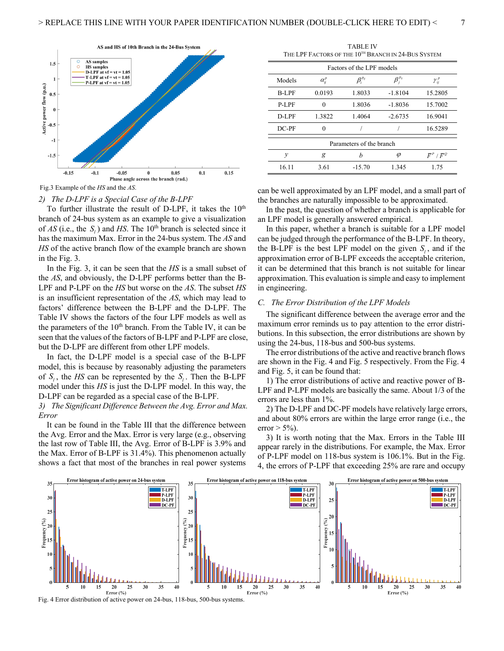

Fig.3 Example of the *HS* and the *AS*.

# *2) The D-LPF is a Special Case of the B-LPF*

To further illustrate the result of D-LPF, it takes the  $10<sup>th</sup>$ branch of 24-bus system as an example to give a visualization of  $AS$  (i.e., the  $S_i$ ) and HS. The 10<sup>th</sup> branch is selected since it has the maximum Max. Error in the 24-bus system. The *AS* and *HS* of the active branch flow of the example branch are shown in the Fig. 3.

In the Fig. 3, it can be seen that the *HS* is a small subset of the *AS*, and obviously, the D-LPF performs better than the B-LPF and P-LPF on the *HS* but worse on the *AS*. The subset *HS* is an insufficient representation of the *AS*, which may lead to factors' difference between the B-LPF and the D-LPF. The Table IV shows the factors of the four LPF models as well as the parameters of the  $10<sup>th</sup>$  branch. From the Table IV, it can be seen that the values of the factors of B-LPF and P-LPF are close, but the D-LPF are different from other LPF models.

In fact, the D-LPF model is a special case of the B-LPF model, this is because by reasonably adjusting the parameters of  $S_i$ , the *HS* can be represented by the  $S_i$ . Then the B-LPF model under this *HS* is just the D-LPF model. In this way, the D-LPF can be regarded as a special case of the B-LPF.

*3) The Significant Difference Between the Avg. Error and Max. Error*

It can be found in the Table III that the difference between the Avg. Error and the Max. Error is very large (e.g., observing the last row of Table III, the Avg. Error of B-LPF is 3.9% and the Max. Error of B-LPF is 31.4%). This phenomenon actually shows a fact that most of the branches in real power systems

TABLE IV THE LPF FACTORS OF THE  $10^{TH}$  BRANCH IN 24-BUS SYSTEM

| Factors of the LPF models |                 |                             |           |                           |  |  |  |
|---------------------------|-----------------|-----------------------------|-----------|---------------------------|--|--|--|
| Models                    | $\alpha_{ii}^p$ | $\beta_i^{\textit{p}_{ij}}$ |           | $\gamma_{ii}^{\,\,\nu}$   |  |  |  |
| <b>B-LPF</b>              | 0.0193          | 1.8033                      | $-1.8104$ | 15.2805                   |  |  |  |
| P-LPF                     |                 | 1.8036                      | $-1.8036$ | 15.7002                   |  |  |  |
| D-LPF                     | 1.3822          | 1.4064                      | $-2.6735$ | 16.9041                   |  |  |  |
| $DC-PF$                   |                 |                             |           | 16.5289                   |  |  |  |
| Parameters of the branch  |                 |                             |           |                           |  |  |  |
| y                         | g               | h                           | φ         | $\bar{F}^P$ / $\bar{F}^Q$ |  |  |  |
| 16.11                     | 3.61            | $-15.70$                    | 1.345     | 1.75                      |  |  |  |

can be well approximated by an LPF model, and a small part of the branches are naturally impossible to be approximated.

In the past, the question of whether a branch is applicable for an LPF model is generally answered empirical.

In this paper, whether a branch is suitable for a LPF model can be judged through the performance of the B-LPF. In theory, the B-LPF is the best LPF model on the given  $S_i$ , and if the approximation error of B-LPF exceeds the acceptable criterion, it can be determined that this branch is not suitable for linear approximation. This evaluation is simple and easy to implement in engineering.

## *C. The Error Distribution of the LPF Models*

The significant difference between the average error and the maximum error reminds us to pay attention to the error distributions. In this subsection, the error distributions are shown by using the 24-bus, 118-bus and 500-bus systems.

The error distributions of the active and reactive branch flows are shown in the Fig. 4 and Fig. 5 respectively. From the Fig. 4 and Fig. 5, it can be found that:

1) The error distributions of active and reactive power of B-LPF and P-LPF models are basically the same. About 1/3 of the errors are less than 1%.

2) The D-LPF and DC-PF models have relatively large errors, and about 80% errors are within the large error range (i.e., the error  $> 5\%$ ).

3) It is worth noting that the Max. Errors in the Table III appear rarely in the distributions. For example, the Max. Error of P-LPF model on 118-bus system is 106.1%. But in the Fig. 4, the errors of P-LPF that exceeding 25% are rare and occupy



Fig. 4 Error distribution of active power on 24-bus, 118-bus, 500-bus systems.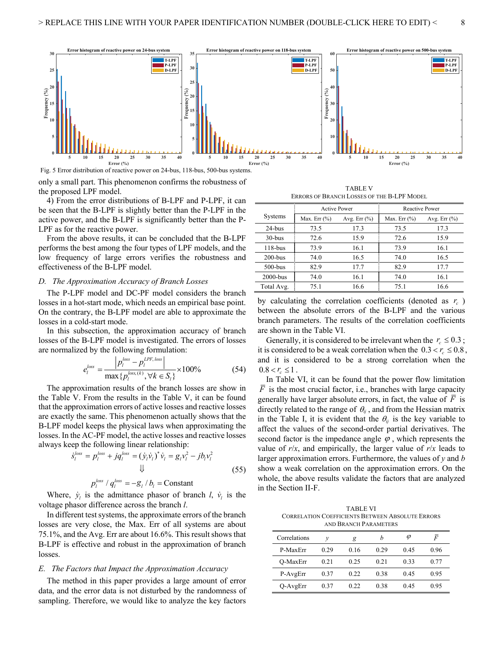

only a small part. This phenomenon confirms the robustness of the proposed LPF model.

4) From the error distributions of B-LPF and P-LPF, it can be seen that the B-LPF is slightly better than the P-LPF in the active power, and the B-LPF is significantly better than the P-LPF as for the reactive power.

From the above results, it can be concluded that the B-LPF performs the best among the four types of LPF models, and the low frequency of large errors verifies the robustness and effectiveness of the B-LPF model.

## *D. The Approximation Accuracy of Branch Losses*

The P-LPF model and DC-PF model considers the branch losses in a hot-start mode, which needs an empirical base point. On the contrary, the B-LPF model are able to approximate the losses in a cold-start mode.

In this subsection, the approximation accuracy of branch losses of the B-LPF model is investigated. The errors of losses are normalized by the following formulation:

$$
e_l^{loss} = \frac{|p_l^{loss} - p_l^{LPF, loss}|}{\max\{p_l^{loss, (k)}, \forall k \in S_l\}} \times 100\%
$$
(54)

The approximation results of the branch losses are show in the Table V. From the results in the Table V, it can be found that the approximation errors of active losses and reactive losses are exactly the same. This phenomenon actually shows that the B-LPF model keeps the physical laws when approximating the losses. In the AC-PF model, the active losses and reactive losses always keep the following linear relationship:

$$
\dot{s}_l^{\text{loss}} = p_l^{\text{loss}} + j q_l^{\text{loss}} = (\dot{y}_l \dot{v}_l)^* \dot{v}_l = g_l v_l^2 - j b_l v_l^2
$$
\n
$$
\downarrow \qquad \qquad (55)
$$

$$
p_l^{loss} / q_l^{loss} = -g_l / b_l = \text{Constant}
$$

Where,  $\dot{y}_i$  is the admittance phasor of branch *l*,  $\dot{v}_i$  is the voltage phasor difference across the branch *l*.

In different test systems, the approximate errors of the branch losses are very close, the Max. Err of all systems are about 75.1%, and the Avg. Err are about 16.6%. This result shows that B-LPF is effective and robust in the approximation of branch losses.

## *E. The Factors that Impact the Approximation Accuracy*

The method in this paper provides a large amount of error data, and the error data is not disturbed by the randomness of sampling. Therefore, we would like to analyze the key factors

TABLE V ERRORS OF BRANCH LOSSES OF THE B-LPF MODEL

|            | <b>Active Power</b>                 |      | <b>Reactive Power</b> |                  |  |  |
|------------|-------------------------------------|------|-----------------------|------------------|--|--|
| Systems    | Avg. Err $(\%)$<br>Max. Err $(\% )$ |      | Max. Err $(\%)$       | Avg. Err $(\% )$ |  |  |
| $24$ -bus  | 73.5                                | 17.3 | 73.5                  | 17.3             |  |  |
| $30 - bus$ | 72.6                                | 15.9 | 72.6                  | 15.9             |  |  |
| $118$ -bus | 73.9                                | 16.1 | 73.9                  | 16.1             |  |  |
| $200$ -bus | 74.0                                | 16.5 | 74.0                  | 16.5             |  |  |
| $500$ -bus | 82.9                                | 17.7 | 82.9                  | 17.7             |  |  |
| $2000-bus$ | 74.0                                | 16.1 | 74.0                  | 16.1             |  |  |
| Total Avg. | 75.1                                | 16.6 | 75.1                  | 16.6             |  |  |

by calculating the correlation coefficients (denoted as  $r_c$ ) between the absolute errors of the B-LPF and the various branch parameters. The results of the correlation coefficients are shown in the Table VI.

Generally, it is considered to be irrelevant when the  $r_c \leq 0.3$ ; it is considered to be a weak correlation when the  $0.3 < r_c \leq 0.8$ , and it is considered to be a strong correlation when the  $0.8 < r_c \leq 1$ .

In Table VI, it can be found that the power flow limitation  $\overline{F}$  is the most crucial factor, i.e., branches with large capacity generally have larger absolute errors, in fact, the value of  $\overline{F}$  is directly related to the range of  $\theta_{ii}$ , and from the Hessian matrix in the Table I, it is evident that the  $\theta_{ij}$  is the key variable to affect the values of the second-order partial derivatives. The second factor is the impedance angle  $\varphi$ , which represents the value of  $r/x$ , and empirically, the larger value of  $r/x$  leads to larger approximation errors. Furthermore, the values of *y* and *b* show a weak correlation on the approximation errors. On the whole, the above results validate the factors that are analyzed in the Section II-F.

TABLE VI CORRELATION COEFFICIENTS BETWEEN ABSOLUTE ERRORS AND BRANCH PARAMETERS

| Correlations | ν    | g    | h    | Ø    | $\bar{F}$ |
|--------------|------|------|------|------|-----------|
| P-MaxErr     | 0.29 | 0.16 | 0.29 | 0.45 | 0.96      |
| O-MaxErr     | 0.21 | 0.25 | 0.21 | 0.33 | 0.77      |
| P-AvgErr     | 0.37 | 0.22 | 0.38 | 0.45 | 0.95      |
| Q-AvgErr     | 0.37 | 0.22 | 0.38 | 0.45 | 0.95      |